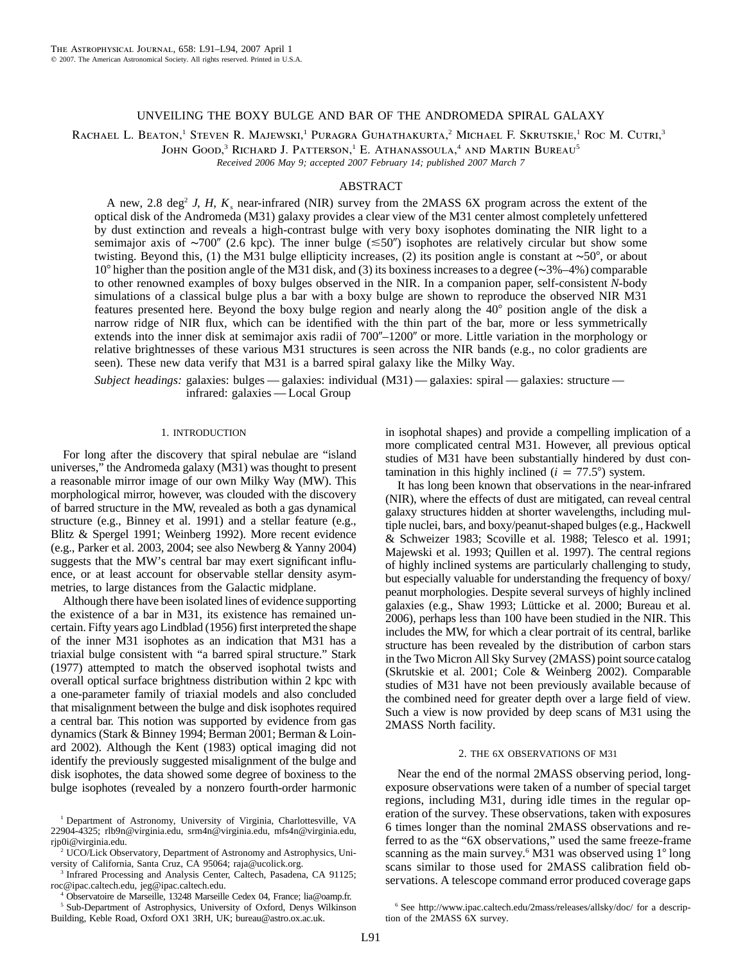## UNVEILING THE BOXY BULGE AND BAR OF THE ANDROMEDA SPIRAL GALAXY

RACHAEL L. BEATON,<sup>1</sup> STEVEN R. MAJEWSKI,<sup>1</sup> PURAGRA GUHATHAKURTA,<sup>2</sup> MICHAEL F. SKRUTSKIE,<sup>1</sup> ROC M. CUTRI,<sup>3</sup>

JOHN GOOD,<sup>3</sup> RICHARD J. PATTERSON,<sup>1</sup> E. ATHANASSOULA,<sup>4</sup> AND MARTIN BUREAU<sup>5</sup>

*Received 2006 May 9; accepted 2007 February 14; published 2007 March 7*

# ABSTRACT

A new, 2.8 deg<sup>2</sup> *J*, *H*,  $K_s$  near-infrared (NIR) survey from the 2MASS 6X program across the extent of the optical disk of the Andromeda (M31) galaxy provides a clear view of the M31 center almost completely unfettered by dust extinction and reveals a high-contrast bulge with very boxy isophotes dominating the NIR light to a semimajor axis of ~700" (2.6 kpc). The inner bulge (≤50") isophotes are relatively circular but show some twisting. Beyond this, (1) the M31 bulge ellipticity increases, (2) its position angle is constant at ∼50°, or about 10- higher than the position angle of the M31 disk, and (3) its boxiness increases to a degree (∼3%–4%) comparable to other renowned examples of boxy bulges observed in the NIR. In a companion paper, self-consistent *N*-body simulations of a classical bulge plus a bar with a boxy bulge are shown to reproduce the observed NIR M31 features presented here. Beyond the boxy bulge region and nearly along the 40° position angle of the disk a narrow ridge of NIR flux, which can be identified with the thin part of the bar, more or less symmetrically extends into the inner disk at semimajor axis radii of  $700^{\prime\prime}$ –1200" or more. Little variation in the morphology or relative brightnesses of these various M31 structures is seen across the NIR bands (e.g., no color gradients are seen). These new data verify that M31 is a barred spiral galaxy like the Milky Way.

*Subject headings:* galaxies: bulges — galaxies: individual (M31) — galaxies: spiral — galaxies: structure infrared: galaxies — Local Group

#### 1. INTRODUCTION

For long after the discovery that spiral nebulae are "island universes," the Andromeda galaxy (M31) was thought to present a reasonable mirror image of our own Milky Way (MW). This morphological mirror, however, was clouded with the discovery of barred structure in the MW, revealed as both a gas dynamical structure (e.g., Binney et al. 1991) and a stellar feature (e.g., Blitz & Spergel 1991; Weinberg 1992). More recent evidence (e.g., Parker et al. 2003, 2004; see also Newberg & Yanny 2004) suggests that the MW's central bar may exert significant influence, or at least account for observable stellar density asymmetries, to large distances from the Galactic midplane.

Although there have been isolated lines of evidence supporting the existence of a bar in M31, its existence has remained uncertain. Fifty years ago Lindblad (1956) first interpreted the shape of the inner M31 isophotes as an indication that M31 has a triaxial bulge consistent with "a barred spiral structure." Stark (1977) attempted to match the observed isophotal twists and overall optical surface brightness distribution within 2 kpc with a one-parameter family of triaxial models and also concluded that misalignment between the bulge and disk isophotes required a central bar. This notion was supported by evidence from gas dynamics (Stark & Binney 1994; Berman 2001; Berman & Loinard 2002). Although the Kent (1983) optical imaging did not identify the previously suggested misalignment of the bulge and disk isophotes, the data showed some degree of boxiness to the bulge isophotes (revealed by a nonzero fourth-order harmonic

<sup>3</sup> Infrared Processing and Analysis Center, Caltech, Pasadena, CA 91125; roc@ipac.caltech.edu, jeg@ipac.caltech.edu.

<sup>4</sup> Observatoire de Marseille, 13248 Marseille Cedex 04, France; lia@oamp.fr. <sup>5</sup> Sub-Department of Astrophysics, University of Oxford, Denys Wilkinson Building, Keble Road, Oxford OX1 3RH, UK; bureau@astro.ox.ac.uk.

in isophotal shapes) and provide a compelling implication of a more complicated central M31. However, all previous optical studies of M31 have been substantially hindered by dust contamination in this highly inclined  $(i = 77.5^{\circ})$  system.

It has long been known that observations in the near-infrared (NIR), where the effects of dust are mitigated, can reveal central galaxy structures hidden at shorter wavelengths, including multiple nuclei, bars, and boxy/peanut-shaped bulges (e.g., Hackwell & Schweizer 1983; Scoville et al. 1988; Telesco et al. 1991; Majewski et al. 1993; Quillen et al. 1997). The central regions of highly inclined systems are particularly challenging to study, but especially valuable for understanding the frequency of boxy/ peanut morphologies. Despite several surveys of highly inclined galaxies (e.g., Shaw 1993; Lütticke et al. 2000; Bureau et al. 2006), perhaps less than 100 have been studied in the NIR. This includes the MW, for which a clear portrait of its central, barlike structure has been revealed by the distribution of carbon stars in the Two Micron All Sky Survey (2MASS) point source catalog (Skrutskie et al. 2001; Cole & Weinberg 2002). Comparable studies of M31 have not been previously available because of the combined need for greater depth over a large field of view. Such a view is now provided by deep scans of M31 using the 2MASS North facility.

## 2. THE 6X OBSERVATIONS OF M31

Near the end of the normal 2MASS observing period, longexposure observations were taken of a number of special target regions, including M31, during idle times in the regular operation of the survey. These observations, taken with exposures 6 times longer than the nominal 2MASS observations and referred to as the "6X observations," used the same freeze-frame scanning as the main survey.<sup>6</sup> M31 was observed using 1° long scans similar to those used for 2MASS calibration field observations. A telescope command error produced coverage gaps

<sup>&</sup>lt;sup>1</sup> Department of Astronomy, University of Virginia, Charlottesville, VA 22904-4325; rlb9n@virginia.edu, srm4n@virginia.edu, mfs4n@virginia.edu, rjp0i@virginia.edu.

<sup>2</sup> UCO/Lick Observatory, Department of Astronomy and Astrophysics, University of California, Santa Cruz, CA 95064; raja@ucolick.org.

<sup>6</sup> See http://www.ipac.caltech.edu/2mass/releases/allsky/doc/ for a description of the 2MASS 6X survey.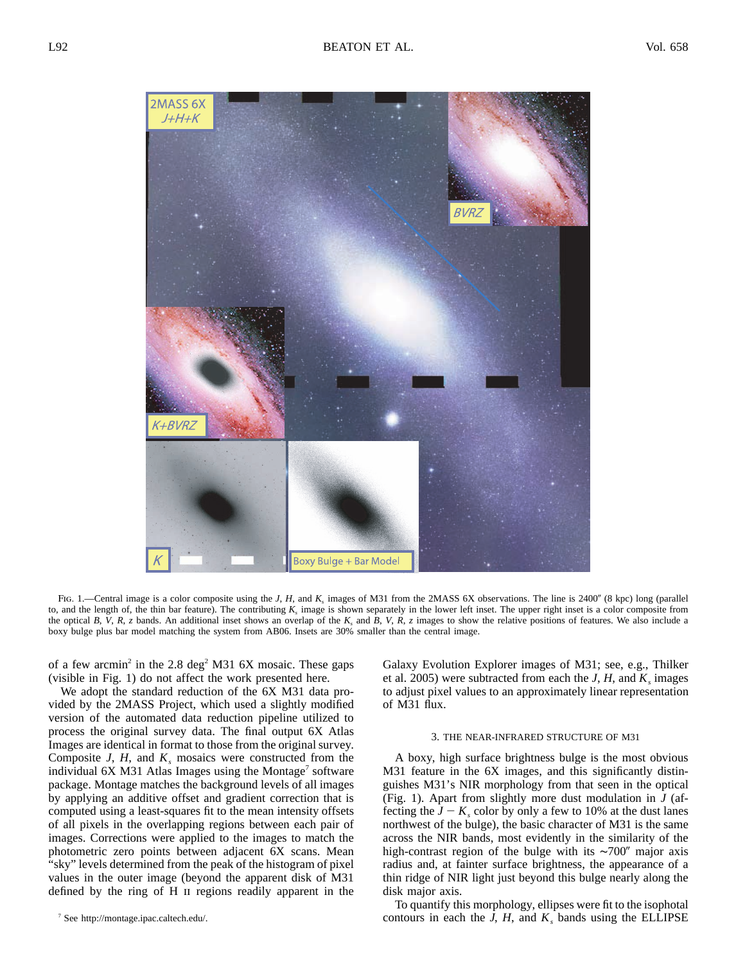

Fig. 1.—Central image is a color composite using the J, H, and K, images of M31 from the 2MASS 6X observations. The line is 2400" (8 kpc) long (parallel to, and the length of, the thin bar feature). The contributing  $K_s$  image is shown separately in the lower left inset. The upper right inset is a color composite from the optical B, V, R, z bands. An additional inset shows an overlap of the  $K<sub>s</sub>$  and B, V, R, z images to show the relative positions of features. We also include a boxy bulge plus bar model matching the system from AB06. Insets are 30% smaller than the central image.

of a few arcmin<sup>2</sup> in the 2.8 deg<sup>2</sup> M31 6X mosaic. These gaps (visible in Fig. 1) do not affect the work presented here.

We adopt the standard reduction of the 6X M31 data provided by the 2MASS Project, which used a slightly modified version of the automated data reduction pipeline utilized to process the original survey data. The final output 6X Atlas Images are identical in format to those from the original survey. Composite *J*, *H*, and  $K<sub>s</sub>$  mosaics were constructed from the individual  $6X M31$  Atlas Images using the Montage<sup>7</sup> software package. Montage matches the background levels of all images by applying an additive offset and gradient correction that is computed using a least-squares fit to the mean intensity offsets of all pixels in the overlapping regions between each pair of images. Corrections were applied to the images to match the photometric zero points between adjacent 6X scans. Mean "sky" levels determined from the peak of the histogram of pixel values in the outer image (beyond the apparent disk of M31 defined by the ring of H ii regions readily apparent in the

Galaxy Evolution Explorer images of M31; see, e.g., Thilker et al. 2005) were subtracted from each the  $J$ ,  $H$ , and  $K_s$  images to adjust pixel values to an approximately linear representation of M31 flux.

### 3. THE NEAR-INFRARED STRUCTURE OF M31

A boxy, high surface brightness bulge is the most obvious M31 feature in the 6X images, and this significantly distinguishes M31's NIR morphology from that seen in the optical (Fig. 1). Apart from slightly more dust modulation in *J* (affecting the  $J - K<sub>s</sub>$  color by only a few to 10% at the dust lanes northwest of the bulge), the basic character of M31 is the same across the NIR bands, most evidently in the similarity of the high-contrast region of the bulge with its ∼700" major axis radius and, at fainter surface brightness, the appearance of a thin ridge of NIR light just beyond this bulge nearly along the disk major axis.

To quantify this morphology, ellipses were fit to the isophotal contours in each the  $J$ ,  $H$ , and  $K<sub>s</sub>$  bands using the ELLIPSE

<sup>7</sup> See http://montage.ipac.caltech.edu/.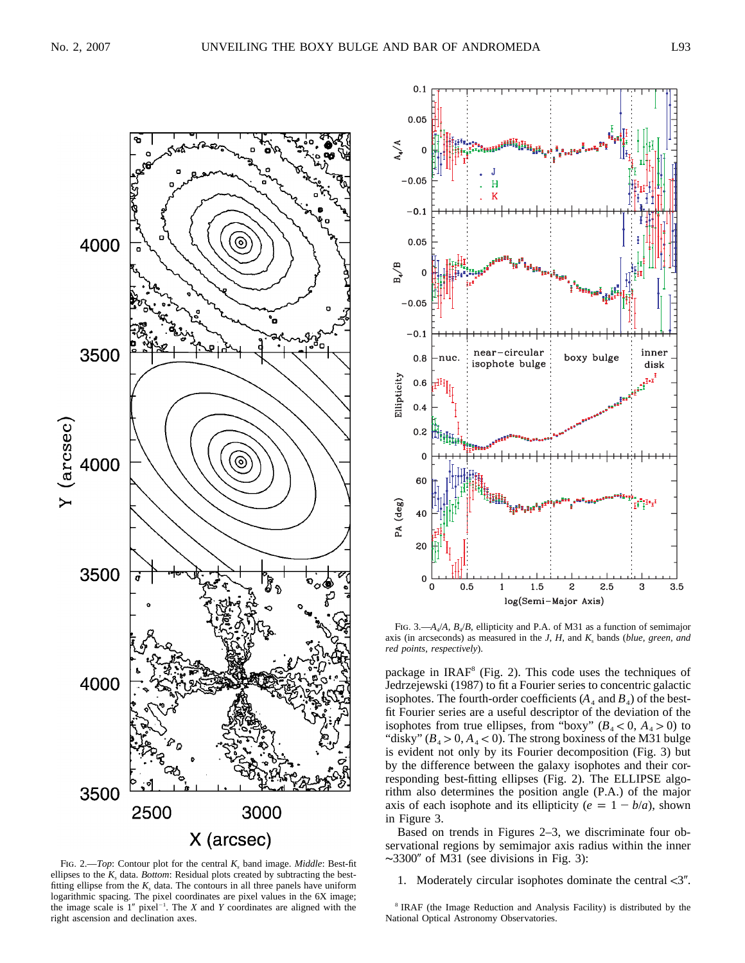

Fig. 2.—*Top*: Contour plot for the central  $K_s$  band image. *Middle*: Best-fit ellipses to the  $K_s$  data. *Bottom*: Residual plots created by subtracting the bestfitting ellipse from the  $K<sub>s</sub>$  data. The contours in all three panels have uniform logarithmic spacing. The pixel coordinates are pixel values in the 6X image; the image scale is  $1''$  pixel<sup>-1</sup>. The *X* and *Y* coordinates are aligned with the right ascension and declination axes.



FIG. 3.— $A$ <sub>4</sub>/A,  $B$ <sub>4</sub>/B, ellipticity and P.A. of M31 as a function of semimajor axis (in arcseconds) as measured in the  $J$ ,  $H$ , and  $K<sub>s</sub>$  bands (*blue, green, and red points, respectively*).

package in  $IRAF<sup>8</sup>$  (Fig. 2). This code uses the techniques of Jedrzejewski (1987) to fit a Fourier series to concentric galactic isophotes. The fourth-order coefficients  $(A_4 \text{ and } B_4)$  of the bestfit Fourier series are a useful descriptor of the deviation of the isophotes from true ellipses, from "boxy" ( $B_4 < 0$ ,  $A_4 > 0$ ) to "disky"  $(B_4 > 0, A_4 < 0)$ . The strong boxiness of the M31 bulge is evident not only by its Fourier decomposition (Fig. 3) but by the difference between the galaxy isophotes and their corresponding best-fitting ellipses (Fig. 2). The ELLIPSE algorithm also determines the position angle (P.A.) of the major axis of each isophote and its ellipticity ( $e = 1 - b/a$ ), shown in Figure 3.

Based on trends in Figures 2–3, we discriminate four observational regions by semimajor axis radius within the inner  $~\sim$ 3300" of M31 (see divisions in Fig. 3):

1. Moderately circular isophotes dominate the central  $\langle 3''$ .

<sup>8</sup> IRAF (the Image Reduction and Analysis Facility) is distributed by the National Optical Astronomy Observatories.